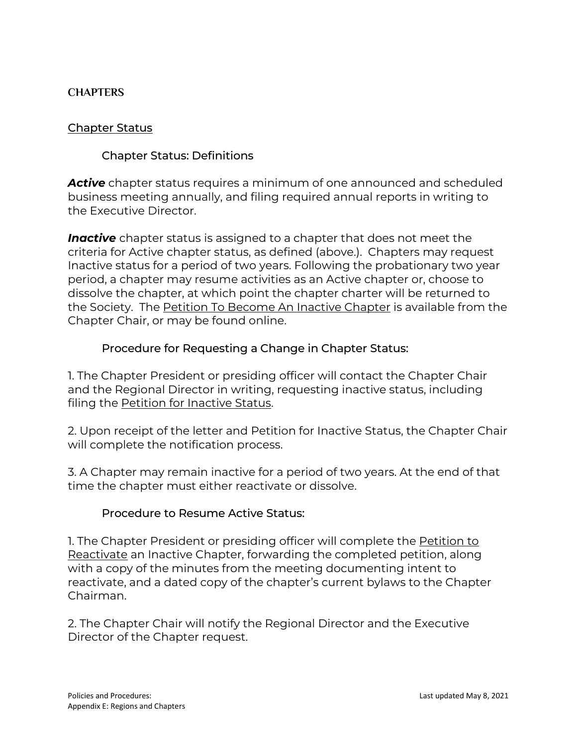## **CHAPTERS**

## Chapter Status

# Chapter Status: Definitions

*Active* chapter status requires a minimum of one announced and scheduled business meeting annually, and filing required annual reports in writing to the Executive Director.

*Inactive* chapter status is assigned to a chapter that does not meet the criteria for Active chapter status, as defined (above.). Chapters may request Inactive status for a period of two years. Following the probationary two year period, a chapter may resume activities as an Active chapter or, choose to dissolve the chapter, at which point the chapter charter will be returned to the Society. The [Petition To Become An Inactive Chapter](https://harpsociety.org/pdfs/chapters/inactivatechapter.pdf) is available from the Chapter Chair, or may be found online.

## Procedure for Requesting a Change in Chapter Status:

1. The Chapter President or presiding officer will contact the Chapter Chair and the Regional Director in writing, requesting inactive status, including filing the **Petition for Inactive Status.** 

2. Upon receipt of the letter and Petition for Inactive Status, the Chapter Chair will complete the notification process.

3. A Chapter may remain inactive for a period of two years. At the end of that time the chapter must either reactivate or dissolve.

#### Procedure to Resume Active Status:

1. The Chapter President or presiding officer will complete the [Petition to](about:blank) [Reactivate](about:blank) an Inactive Chapter, forwarding the completed petition, along with a copy of the minutes from the meeting documenting intent to reactivate, and a dated copy of the chapter's current bylaws to the Chapter Chairman.

2. The Chapter Chair will notify the Regional Director and the Executive Director of the Chapter request.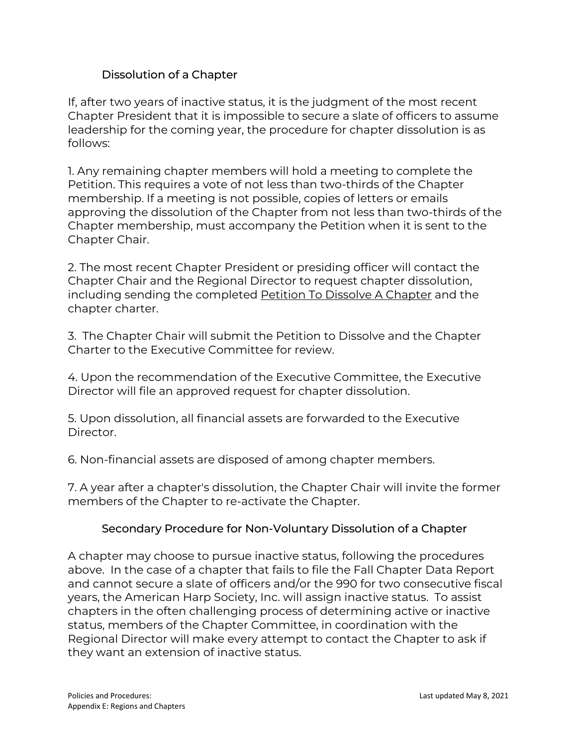# Dissolution of a Chapter

If, after two years of inactive status, it is the judgment of the most recent Chapter President that it is impossible to secure a slate of officers to assume leadership for the coming year, the procedure for chapter dissolution is as follows:

1. Any remaining chapter members will hold a meeting to complete the Petition. This requires a vote of not less than two-thirds of the Chapter membership. If a meeting is not possible, copies of letters or emails approving the dissolution of the Chapter from not less than two-thirds of the Chapter membership, must accompany the Petition when it is sent to the Chapter Chair.

2. The most recent Chapter President or presiding officer will contact the Chapter Chair and the Regional Director to request chapter dissolution, including sending the completed [Petition To Dissolve A Chapter](about:blank) and the chapter charter.

3. The Chapter Chair will submit the Petition to Dissolve and the Chapter Charter to the Executive Committee for review.

4. Upon the recommendation of the Executive Committee, the Executive Director will file an approved request for chapter dissolution.

5. Upon dissolution, all financial assets are forwarded to the Executive Director.

6. Non-financial assets are disposed of among chapter members.

7. A year after a chapter's dissolution, the Chapter Chair will invite the former members of the Chapter to re-activate the Chapter.

# Secondary Procedure for Non-Voluntary Dissolution of a Chapter

A chapter may choose to pursue inactive status, following the procedures above. In the case of a chapter that fails to file the Fall Chapter Data Report and cannot secure a slate of officers and/or the 990 for two consecutive fiscal years, the American Harp Society, Inc. will assign inactive status. To assist chapters in the often challenging process of determining active or inactive status, members of the Chapter Committee, in coordination with the Regional Director will make every attempt to contact the Chapter to ask if they want an extension of inactive status.